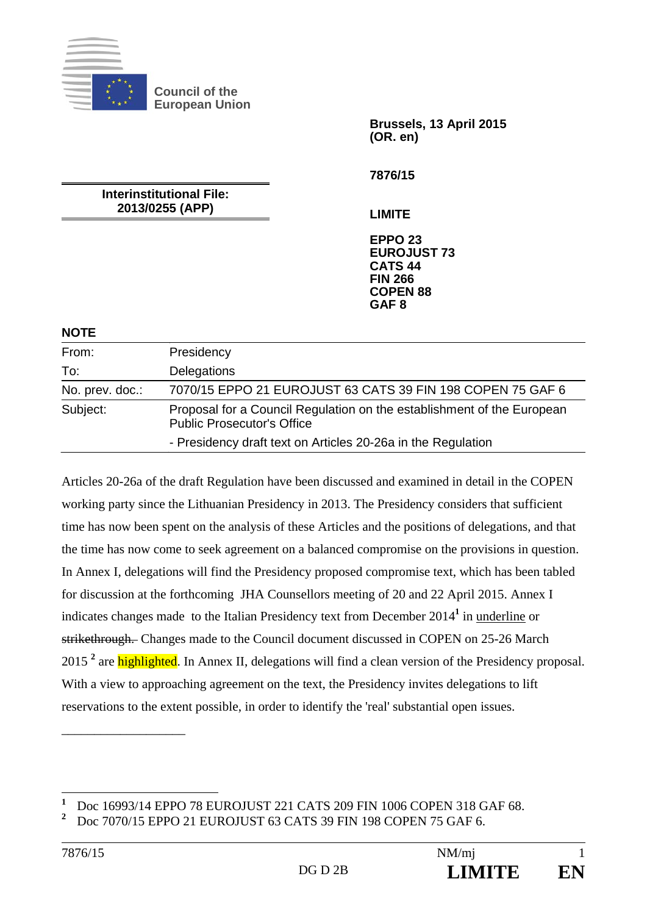

**Council of the European Union** 

> **Brussels, 13 April 2015 (OR. en)**

**7876/15** 

**Interinstitutional File: 2013/0255 (APP)** 

**LIMITE** 

**EPPO 23 EUROJUST 73 CATS 44 FIN 266 COPEN 88 GAF 8**

#### **NOTE**

| From:           | Presidency                                                                                                  |
|-----------------|-------------------------------------------------------------------------------------------------------------|
| To:             | Delegations                                                                                                 |
| No. prev. doc.: | 7070/15 EPPO 21 EUROJUST 63 CATS 39 FIN 198 COPEN 75 GAF 6                                                  |
| Subject:        | Proposal for a Council Regulation on the establishment of the European<br><b>Public Prosecutor's Office</b> |
|                 | - Presidency draft text on Articles 20-26a in the Regulation                                                |

Articles 20-26a of the draft Regulation have been discussed and examined in detail in the COPEN working party since the Lithuanian Presidency in 2013. The Presidency considers that sufficient time has now been spent on the analysis of these Articles and the positions of delegations, and that the time has now come to seek agreement on a balanced compromise on the provisions in question. In Annex I, delegations will find the Presidency proposed compromise text, which has been tabled for discussion at the forthcoming JHA Counsellors meeting of 20 and 22 April 2015. Annex I indicates changes made to the Italian Presidency text from December 2014**<sup>1</sup>** in underline or strikethrough. Changes made to the Council document discussed in COPEN on 25-26 March 2015<sup>2</sup> are **highlighted**. In Annex II, delegations will find a clean version of the Presidency proposal. With a view to approaching agreement on the text, the Presidency invites delegations to lift reservations to the extent possible, in order to identify the 'real' substantial open issues.

 $\overline{a}$ 

\_\_\_\_\_\_\_\_\_\_\_\_\_\_\_\_\_\_\_

**<sup>1</sup>** Doc 16993/14 EPPO 78 EUROJUST 221 CATS 209 FIN 1006 COPEN 318 GAF 68. **2**

Doc 7070/15 EPPO 21 EUROJUST 63 CATS 39 FIN 198 COPEN 75 GAF 6.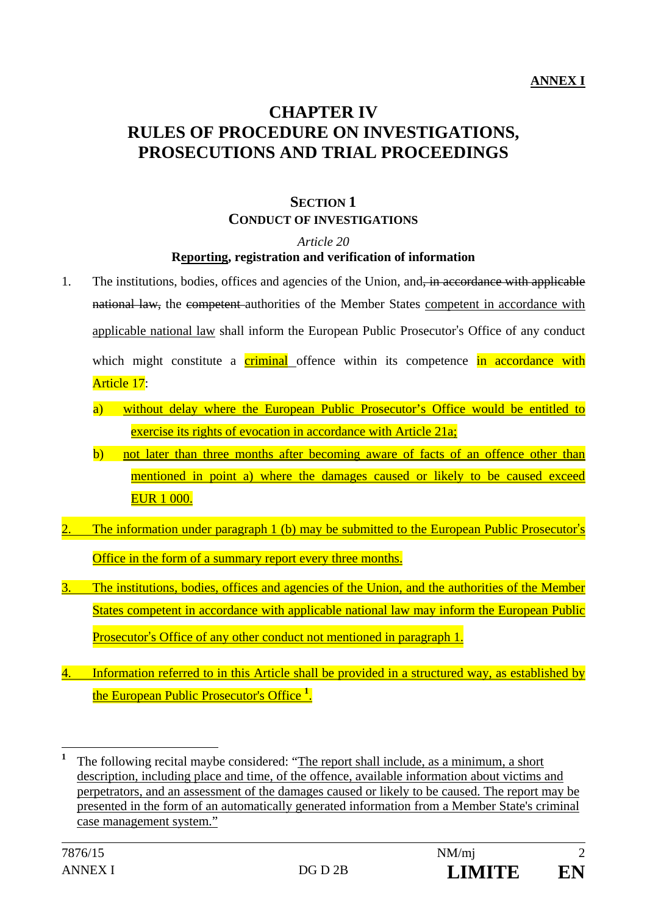# **CHAPTER IV RULES OF PROCEDURE ON INVESTIGATIONS, PROSECUTIONS AND TRIAL PROCEEDINGS**

# **SECTION 1 CONDUCT OF INVESTIGATIONS**

#### *Article 20*

#### **Reporting, registration and verification of information**

- 1. The institutions, bodies, offices and agencies of the Union, and, in accordance with applicable national law, the competent authorities of the Member States competent in accordance with applicable national law shall inform the European Public Prosecutor's Office of any conduct which might constitute a criminal offence within its competence in accordance with Article 17:
	- a) without delay where the European Public Prosecutor's Office would be entitled to exercise its rights of evocation in accordance with Article 21a;
	- b) not later than three months after becoming aware of facts of an offence other than mentioned in point a) where the damages caused or likely to be caused exceed EUR 1 000.
- The information under paragraph 1 (b) may be submitted to the European Public Prosecutor's Office in the form of a summary report every three months.
- 3. The institutions, bodies, offices and agencies of the Union, and the authorities of the Member States competent in accordance with applicable national law may inform the European Public Prosecutor's Office of any other conduct not mentioned in paragraph 1.
- 4. Information referred to in this Article shall be provided in a structured way, as established by the European Public Prosecutor's Office **<sup>1</sup>** .

**<sup>1</sup>** The following recital maybe considered: "The report shall include, as a minimum, a short description, including place and time, of the offence, available information about victims and perpetrators, and an assessment of the damages caused or likely to be caused. The report may be presented in the form of an automatically generated information from a Member State's criminal case management system."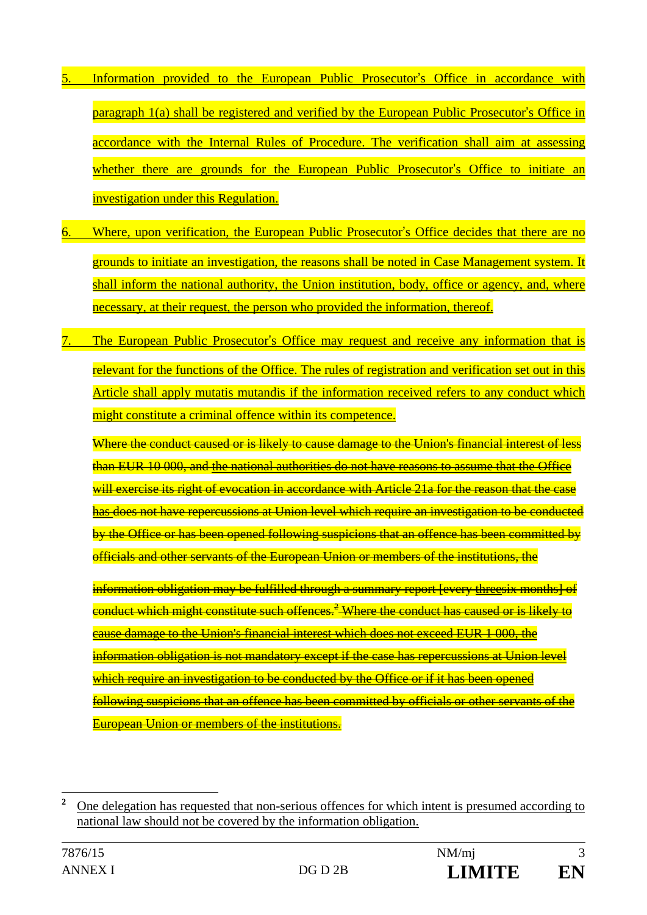- Information provided to the European Public Prosecutor's Office in accordance with paragraph 1(a) shall be registered and verified by the European Public Prosecutor's Office in accordance with the Internal Rules of Procedure. The verification shall aim at assessing whether there are grounds for the European Public Prosecutor's Office to initiate an investigation under this Regulation.
- Where, upon verification, the European Public Prosecutor's Office decides that there are no grounds to initiate an investigation, the reasons shall be noted in Case Management system. It shall inform the national authority, the Union institution, body, office or agency, and, where necessary, at their request, the person who provided the information, thereof.
- The European Public Prosecutor's Office may request and receive any information that is relevant for the functions of the Office. The rules of registration and verification set out in this Article shall apply mutatis mutandis if the information received refers to any conduct which might constitute a criminal offence within its competence.

Where the conduct caused or is likely to cause damage to the Union's financial interest of less than EUR 10 000, and the national authorities do not have reasons to assume that the Office will exercise its right of evocation in accordance with Article 21a for the reason that the case has does not have repercussions at Union level which require an investigation to be conducted by the Office or has been opened following suspicions that an offence has been committed by officials and other servants of the European Union or members of the institutions, the

information obligation may be fulfilled through a summary report [every threesix months] of conduct which might constitute such offences.<sup>2</sup> Where the conduct has caused or is likely to cause damage to the Union's financial interest which does not exceed EUR 1 000, the information obligation is not mandatory except if the case has repercussions at Union level which require an investigation to be conducted by the Office or if it has been opened following suspicions that an offence has been committed by officials or other servants of the European Union or members of the institutions.

 **2** One delegation has requested that non-serious offences for which intent is presumed according to national law should not be covered by the information obligation.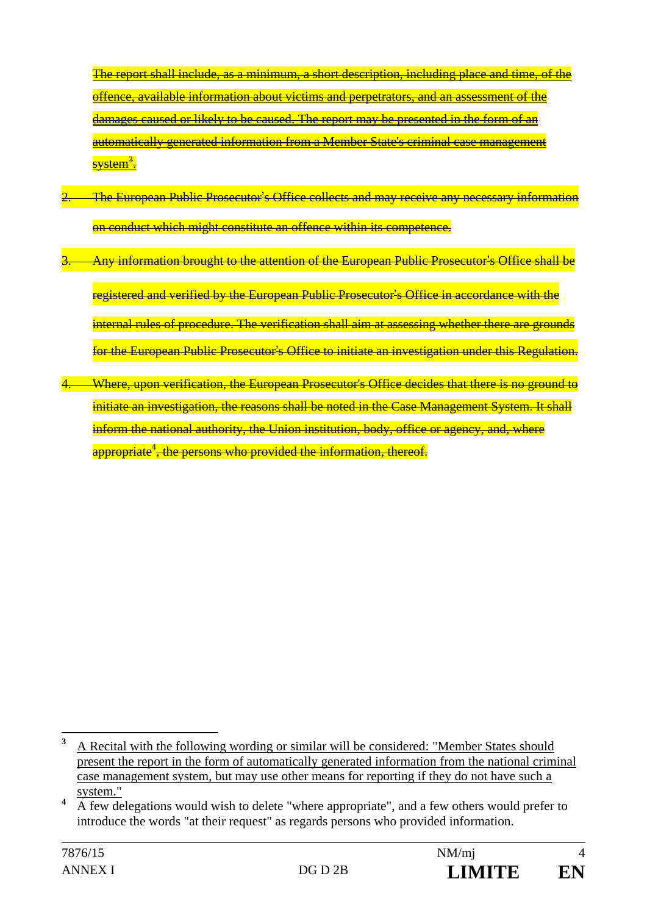The report shall include, as a minimum, a short description, including place and time, of the offence, available information about victims and perpetrators, and an assessment of the damages caused or likely to be caused. The report may be presented in the form of an automatically generated information from a Member State's criminal case management <mark>system<sup>3</sup>.</mark>

- 2. The European Public Prosecutor's Office collects and may receive any necessary information on conduct which might constitute an offence within its competence.
- Any information brought to the attention of the European Public Prosecutor's Office shall be registered and verified by the European Public Prosecutor's Office in accordance with the internal rules of procedure. The verification shall aim at assessing whether there are grounds for the European Public Prosecutor's Office to initiate an investigation under this Regulation.
- 4. Where, upon verification, the European Prosecutor's Office decides that there is no ground to initiate an investigation, the reasons shall be noted in the Case Management System. It shall inform the national authority, the Union institution, body, office or agency, and, where appropriate<sup>4</sup>, the persons who provided the information, thereof.

 **3** A Recital with the following wording or similar will be considered: "Member States should present the report in the form of automatically generated information from the national criminal case management system, but may use other means for reporting if they do not have such a system."

**<sup>4</sup>** A few delegations would wish to delete "where appropriate", and a few others would prefer to introduce the words "at their request" as regards persons who provided information.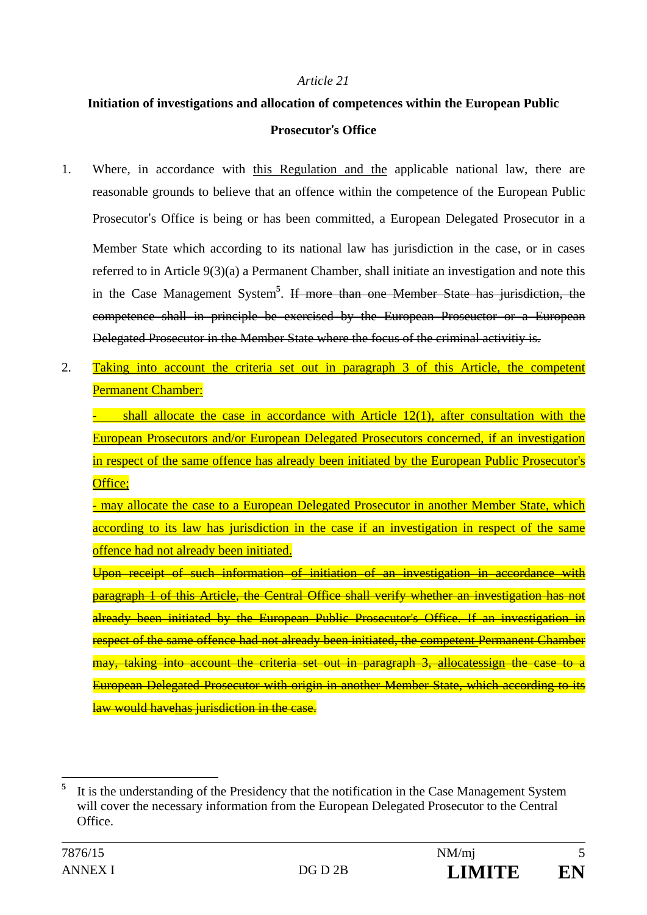#### *Article 21*

# **Initiation of investigations and allocation of competences within the European Public Prosecutor**'**s Office**

- 1. Where, in accordance with this Regulation and the applicable national law, there are reasonable grounds to believe that an offence within the competence of the European Public Prosecutor's Office is being or has been committed, a European Delegated Prosecutor in a Member State which according to its national law has jurisdiction in the case, or in cases referred to in Article 9(3)(a) a Permanent Chamber, shall initiate an investigation and note this in the Case Management System**<sup>5</sup>** . If more than one Member State has jurisdiction, the competence shall in principle be exercised by the European Proseuctor or a European Delegated Prosecutor in the Member State where the focus of the criminal activitiy is.
- 2. Taking into account the criteria set out in paragraph 3 of this Article, the competent Permanent Chamber:

 $shall$  allocate the case in accordance with Article 12(1), after consultation with the European Prosecutors and/or European Delegated Prosecutors concerned, if an investigation in respect of the same offence has already been initiated by the European Public Prosecutor's Office;

- may allocate the case to a European Delegated Prosecutor in another Member State, which according to its law has jurisdiction in the case if an investigation in respect of the same offence had not already been initiated.

Upon receipt of such information of initiation of an investigation in accordance with paragraph 1 of this Article, the Central Office shall verify whether an investigation has not already been initiated by the European Public Prosecutor's Office. If an investigation in respect of the same offence had not already been initiated, the competent Permanent Chamber may, taking into account the criteria set out in paragraph 3, allocatessign the case to a European Delegated Prosecutor with origin in another Member State, which according to its law would havehas jurisdiction in the case.

 $\overline{a}$ **5** It is the understanding of the Presidency that the notification in the Case Management System will cover the necessary information from the European Delegated Prosecutor to the Central **Office**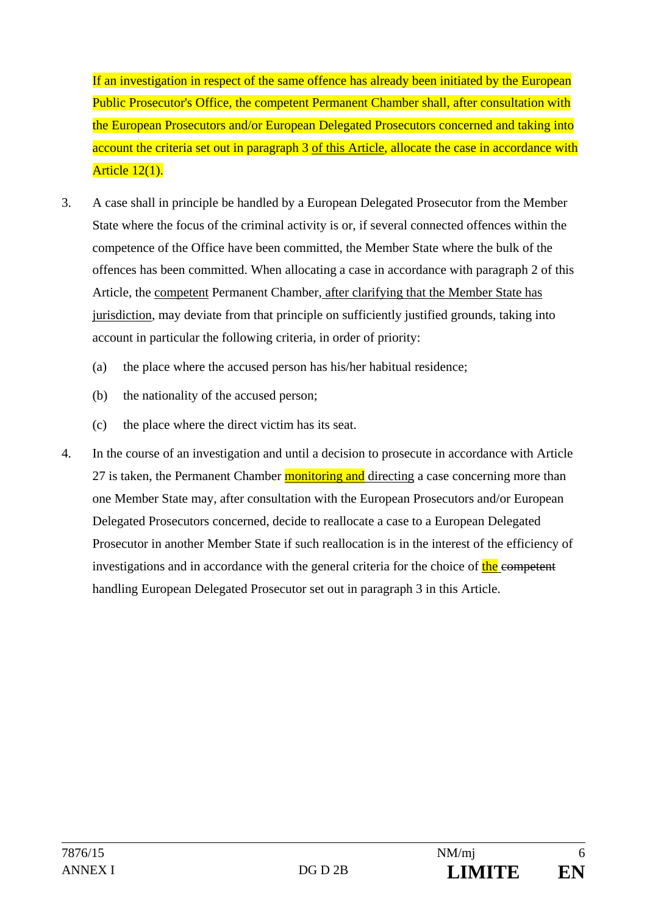If an investigation in respect of the same offence has already been initiated by the European Public Prosecutor's Office, the competent Permanent Chamber shall, after consultation with the European Prosecutors and/or European Delegated Prosecutors concerned and taking into account the criteria set out in paragraph 3 of this Article, allocate the case in accordance with Article 12(1).

- 3. A case shall in principle be handled by a European Delegated Prosecutor from the Member State where the focus of the criminal activity is or, if several connected offences within the competence of the Office have been committed, the Member State where the bulk of the offences has been committed. When allocating a case in accordance with paragraph 2 of this Article, the competent Permanent Chamber, after clarifying that the Member State has jurisdiction, may deviate from that principle on sufficiently justified grounds, taking into account in particular the following criteria, in order of priority:
	- (a) the place where the accused person has his/her habitual residence;
	- (b) the nationality of the accused person;
	- (c) the place where the direct victim has its seat.
- 4. In the course of an investigation and until a decision to prosecute in accordance with Article 27 is taken, the Permanent Chamber monitoring and directing a case concerning more than one Member State may, after consultation with the European Prosecutors and/or European Delegated Prosecutors concerned, decide to reallocate a case to a European Delegated Prosecutor in another Member State if such reallocation is in the interest of the efficiency of investigations and in accordance with the general criteria for the choice of the competent handling European Delegated Prosecutor set out in paragraph 3 in this Article.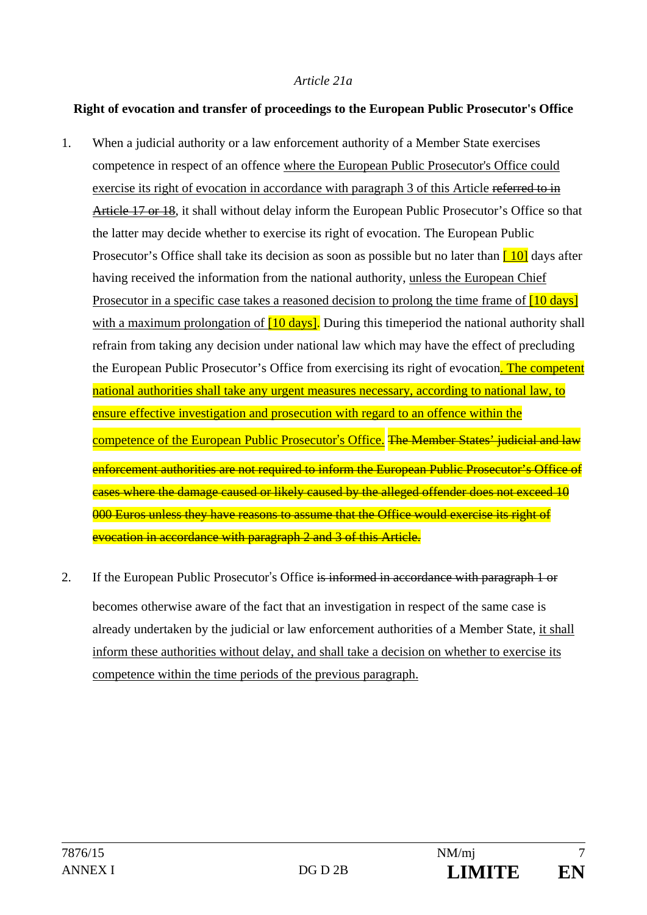#### *Article 21a*

#### **Right of evocation and transfer of proceedings to the European Public Prosecutor's Office**

- 1. When a judicial authority or a law enforcement authority of a Member State exercises competence in respect of an offence where the European Public Prosecutor's Office could exercise its right of evocation in accordance with paragraph 3 of this Article referred to in Article 17 or 18, it shall without delay inform the European Public Prosecutor's Office so that the latter may decide whether to exercise its right of evocation. The European Public Prosecutor's Office shall take its decision as soon as possible but no later than  $\begin{bmatrix} 10 \\ 0 \end{bmatrix}$  days after having received the information from the national authority, unless the European Chief Prosecutor in a specific case takes a reasoned decision to prolong the time frame of  $[10 \text{ days}]$ with a maximum prolongation of  $[10 \text{ days}]$ . During this timeperiod the national authority shall refrain from taking any decision under national law which may have the effect of precluding the European Public Prosecutor's Office from exercising its right of evocation. The competent national authorities shall take any urgent measures necessary, according to national law, to ensure effective investigation and prosecution with regard to an offence within the competence of the European Public Prosecutor's Office. The Member States' judicial and law enforcement authorities are not required to inform the European Public Prosecutor's Office of cases where the damage caused or likely caused by the alleged offender does not exceed 10 000 Euros unless they have reasons to assume that the Office would exercise its right of evocation in accordance with paragraph 2 and 3 of this Article.
- 2. If the European Public Prosecutor's Office is informed in accordance with paragraph 1 or becomes otherwise aware of the fact that an investigation in respect of the same case is already undertaken by the judicial or law enforcement authorities of a Member State, it shall inform these authorities without delay, and shall take a decision on whether to exercise its competence within the time periods of the previous paragraph.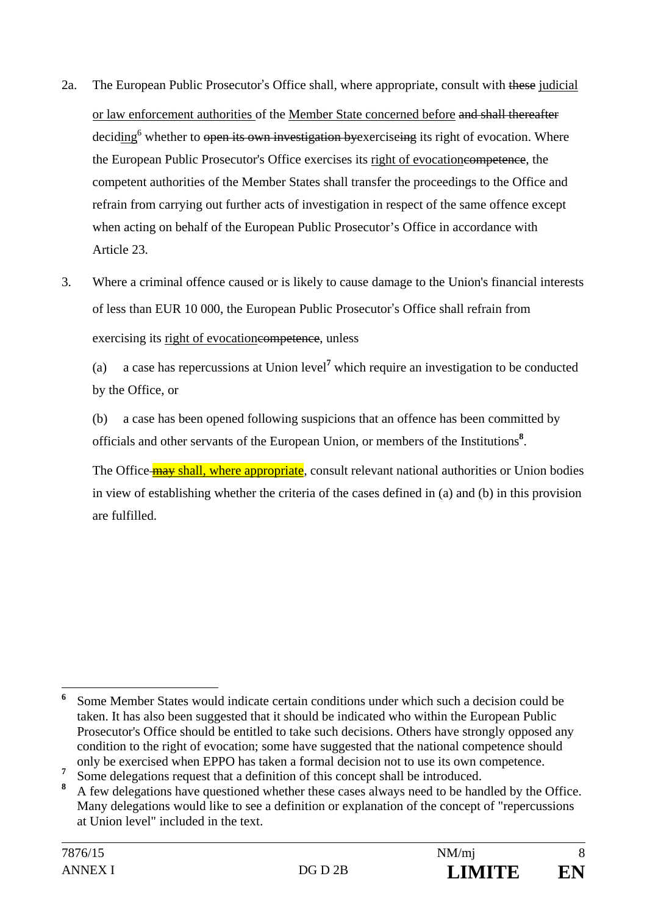- 2a. The European Public Prosecutor's Office shall, where appropriate, consult with these judicial or law enforcement authorities of the Member State concerned before and shall thereafter deciding<sup>6</sup> whether to open its own investigation by exerciseing its right of evocation. Where the European Public Prosecutor's Office exercises its right of evocationcompetence, the competent authorities of the Member States shall transfer the proceedings to the Office and refrain from carrying out further acts of investigation in respect of the same offence except when acting on behalf of the European Public Prosecutor's Office in accordance with Article 23.
- 3. Where a criminal offence caused or is likely to cause damage to the Union's financial interests of less than EUR 10 000, the European Public Prosecutor's Office shall refrain from exercising its right of evocation essent energy unless

 (a) a case has repercussions at Union level**<sup>7</sup>** which require an investigation to be conducted by the Office, or

 (b) a case has been opened following suspicions that an offence has been committed by officials and other servants of the European Union, or members of the Institutions**<sup>8</sup>** .

The Office **may shall, where appropriate**, consult relevant national authorities or Union bodies in view of establishing whether the criteria of the cases defined in (a) and (b) in this provision are fulfilled.

 $\overline{a}$ **6** Some Member States would indicate certain conditions under which such a decision could be taken. It has also been suggested that it should be indicated who within the European Public Prosecutor's Office should be entitled to take such decisions. Others have strongly opposed any condition to the right of evocation; some have suggested that the national competence should only be exercised when EPPO has taken a formal decision not to use its own competence.

**<sup>7</sup>** Some delegations request that a definition of this concept shall be introduced.

**<sup>8</sup>** A few delegations have questioned whether these cases always need to be handled by the Office. Many delegations would like to see a definition or explanation of the concept of "repercussions at Union level" included in the text.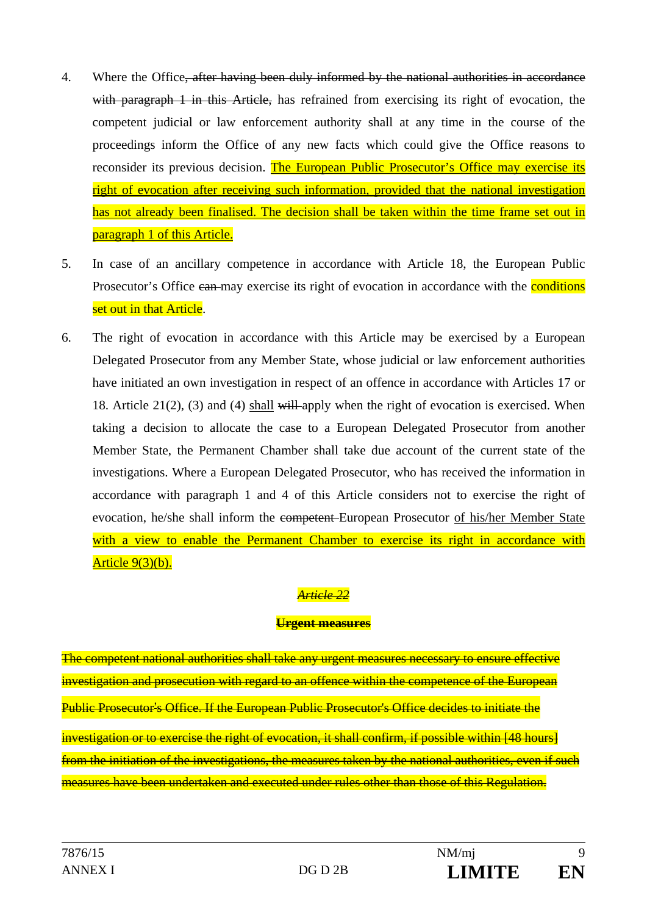- 4. Where the Office, after having been duly informed by the national authorities in accordance with paragraph 1 in this Article, has refrained from exercising its right of evocation, the competent judicial or law enforcement authority shall at any time in the course of the proceedings inform the Office of any new facts which could give the Office reasons to reconsider its previous decision. The European Public Prosecutor's Office may exercise its right of evocation after receiving such information, provided that the national investigation has not already been finalised. The decision shall be taken within the time frame set out in paragraph 1 of this Article.
- 5. In case of an ancillary competence in accordance with Article 18, the European Public Prosecutor's Office can may exercise its right of evocation in accordance with the **conditions** set out in that Article.
- 6. The right of evocation in accordance with this Article may be exercised by a European Delegated Prosecutor from any Member State, whose judicial or law enforcement authorities have initiated an own investigation in respect of an offence in accordance with Articles 17 or 18. Article 21(2), (3) and (4) shall will apply when the right of evocation is exercised. When taking a decision to allocate the case to a European Delegated Prosecutor from another Member State, the Permanent Chamber shall take due account of the current state of the investigations. Where a European Delegated Prosecutor, who has received the information in accordance with paragraph 1 and 4 of this Article considers not to exercise the right of evocation, he/she shall inform the competent European Prosecutor of his/her Member State with a view to enable the Permanent Chamber to exercise its right in accordance with Article 9(3)(b).

# *Article 22*

#### **Urgent measures**

The competent national authorities shall take any urgent measures necessary to ensure effective investigation and prosecution with regard to an offence within the competence of the European Public Prosecutor's Office. If the European Public Prosecutor's Office decides to initiate the investigation or to exercise the right of evocation, it shall confirm, if possible within [48 hours] from the initiation of the investigations, the measures taken by the national authorities, even if such measures have been undertaken and executed under rules other than those of this Regulation.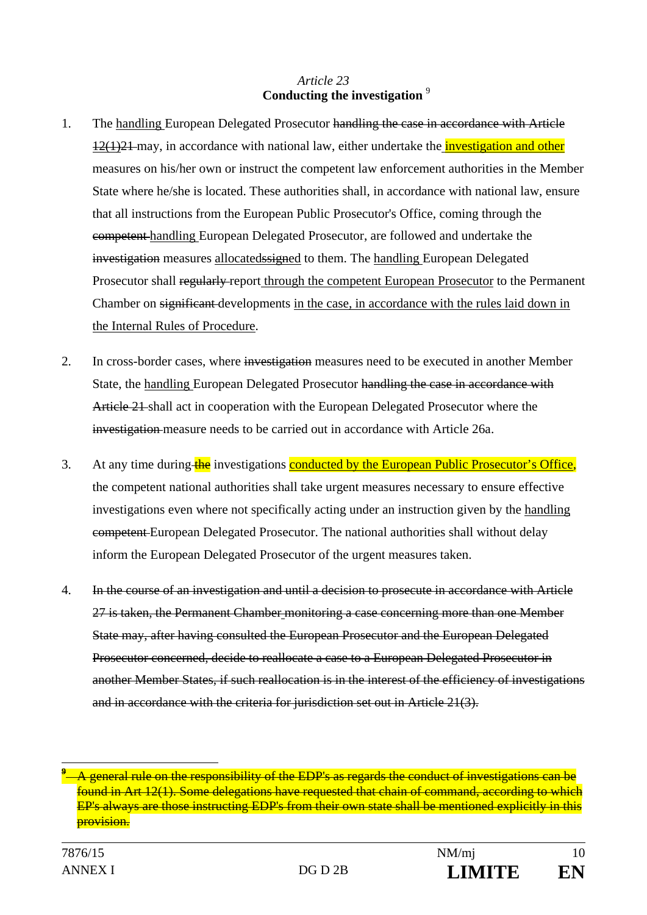#### *Article 23* **Conducting the investigation** <sup>9</sup>

- 1. The handling European Delegated Prosecutor handling the case in accordance with Article  $12(1)21$  may, in accordance with national law, either undertake the *investigation and other* measures on his/her own or instruct the competent law enforcement authorities in the Member State where he/she is located. These authorities shall, in accordance with national law, ensure that all instructions from the European Public Prosecutor's Office, coming through the competent handling European Delegated Prosecutor, are followed and undertake the investigation measures allocatedssigned to them. The handling European Delegated Prosecutor shall regularly-report through the competent European Prosecutor to the Permanent Chamber on significant developments in the case, in accordance with the rules laid down in the Internal Rules of Procedure.
- 2. In cross-border cases, where investigation measures need to be executed in another Member State, the handling European Delegated Prosecutor handling the case in accordance with Article 21 shall act in cooperation with the European Delegated Prosecutor where the investigation measure needs to be carried out in accordance with Article 26a.
- 3. At any time during the investigations conducted by the European Public Prosecutor's Office, the competent national authorities shall take urgent measures necessary to ensure effective investigations even where not specifically acting under an instruction given by the handling competent European Delegated Prosecutor. The national authorities shall without delay inform the European Delegated Prosecutor of the urgent measures taken.
- 4. In the course of an investigation and until a decision to prosecute in accordance with Article 27 is taken, the Permanent Chamber monitoring a case concerning more than one Member State may, after having consulted the European Prosecutor and the European Delegated Prosecutor concerned, decide to reallocate a case to a European Delegated Prosecutor in another Member States, if such reallocation is in the interest of the efficiency of investigations and in accordance with the criteria for jurisdiction set out in Article 21(3).

**<sup>9</sup>** A general rule on the responsibility of the EDP's as regards the conduct of investigations can be found in Art 12(1). Some delegations have requested that chain of command, according to which EP's always are those instructing EDP's from their own state shall be mentioned explicitly in this provision.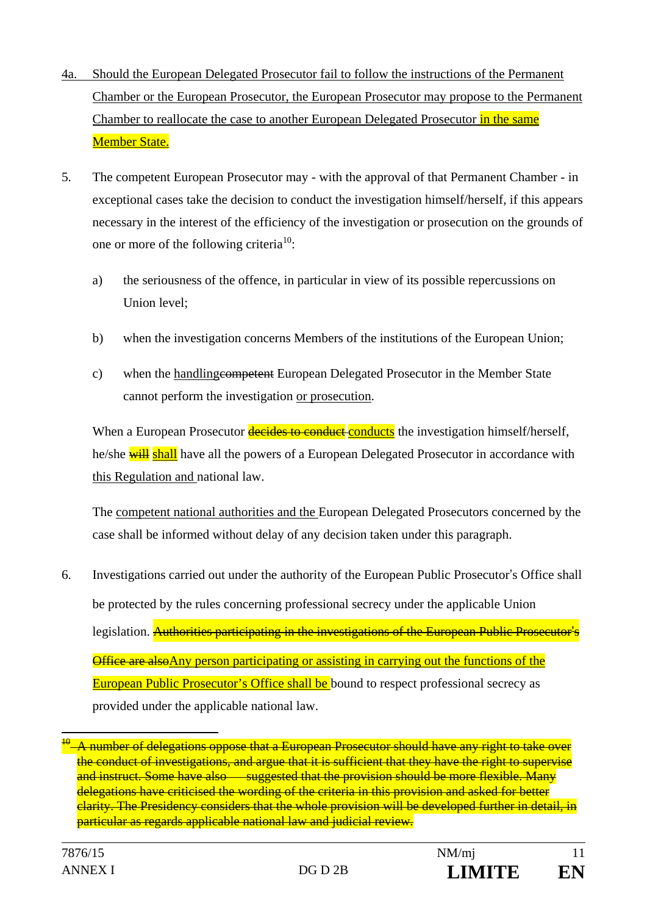- 4a. Should the European Delegated Prosecutor fail to follow the instructions of the Permanent Chamber or the European Prosecutor, the European Prosecutor may propose to the Permanent Chamber to reallocate the case to another European Delegated Prosecutor in the same Member State.
- 5. The competent European Prosecutor may with the approval of that Permanent Chamber in exceptional cases take the decision to conduct the investigation himself/herself, if this appears necessary in the interest of the efficiency of the investigation or prosecution on the grounds of one or more of the following criteria<sup>10</sup>:
	- a) the seriousness of the offence, in particular in view of its possible repercussions on Union level;
	- b) when the investigation concerns Members of the institutions of the European Union;
	- c) when the handlingcompetent European Delegated Prosecutor in the Member State cannot perform the investigation or prosecution.

When a European Prosecutor decides to conduct conducts the investigation himself/herself, he/she will shall have all the powers of a European Delegated Prosecutor in accordance with this Regulation and national law.

The competent national authorities and the European Delegated Prosecutors concerned by the case shall be informed without delay of any decision taken under this paragraph.

6. Investigations carried out under the authority of the European Public Prosecutor's Office shall be protected by the rules concerning professional secrecy under the applicable Union legislation. **Authorities participating in the investigations of the European Public Prosecutor's** Office are alsoAny person participating or assisting in carrying out the functions of the European Public Prosecutor's Office shall be bound to respect professional secrecy as provided under the applicable national law.

 $^{\theta}$ –A number of delegations oppose that a European Prosecutor should have any right to take over the conduct of investigations, and argue that it is sufficient that they have the right to supervise and instruct. Some have also suggested that the provision should be more flexible. Many delegations have criticised the wording of the criteria in this provision and asked for better clarity. The Presidency considers that the whole provision will be developed further in detail, in particular as regards applicable national law and judicial review.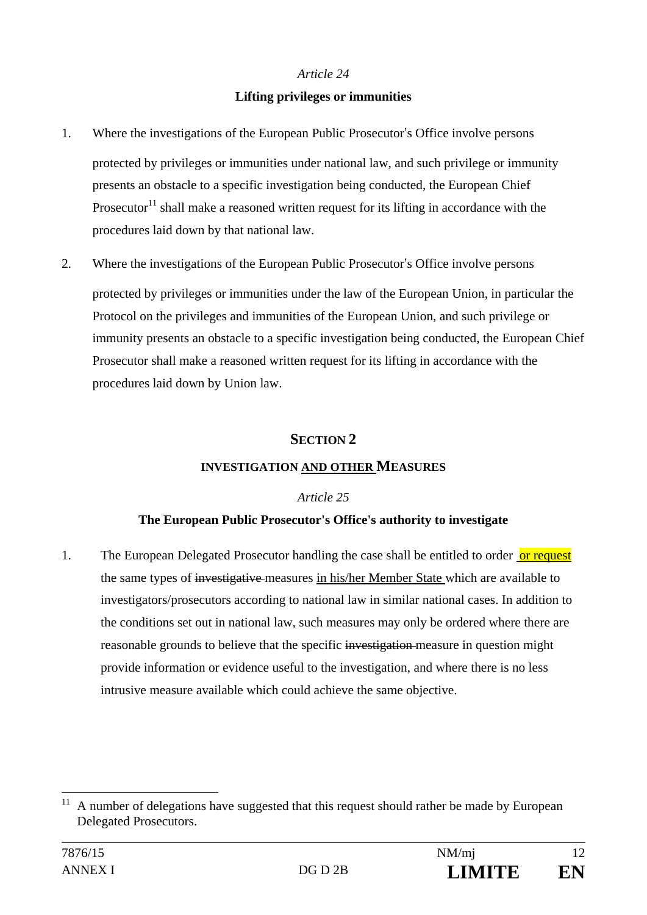#### *Article 24*

#### **Lifting privileges or immunities**

- 1. Where the investigations of the European Public Prosecutor's Office involve persons protected by privileges or immunities under national law, and such privilege or immunity presents an obstacle to a specific investigation being conducted, the European Chief Prosecutor<sup>11</sup> shall make a reasoned written request for its lifting in accordance with the procedures laid down by that national law.
- 2. Where the investigations of the European Public Prosecutor's Office involve persons protected by privileges or immunities under the law of the European Union, in particular the Protocol on the privileges and immunities of the European Union, and such privilege or immunity presents an obstacle to a specific investigation being conducted, the European Chief Prosecutor shall make a reasoned written request for its lifting in accordance with the procedures laid down by Union law.

## **SECTION 2**

#### **INVESTIGATION AND OTHER MEASURES**

#### *Article 25*

## **The European Public Prosecutor's Office's authority to investigate**

1. The European Delegated Prosecutor handling the case shall be entitled to order or request the same types of investigative measures in his/her Member State which are available to investigators/prosecutors according to national law in similar national cases. In addition to the conditions set out in national law, such measures may only be ordered where there are reasonable grounds to believe that the specific investigation measure in question might provide information or evidence useful to the investigation, and where there is no less intrusive measure available which could achieve the same objective.

 $11\,$ A number of delegations have suggested that this request should rather be made by European Delegated Prosecutors.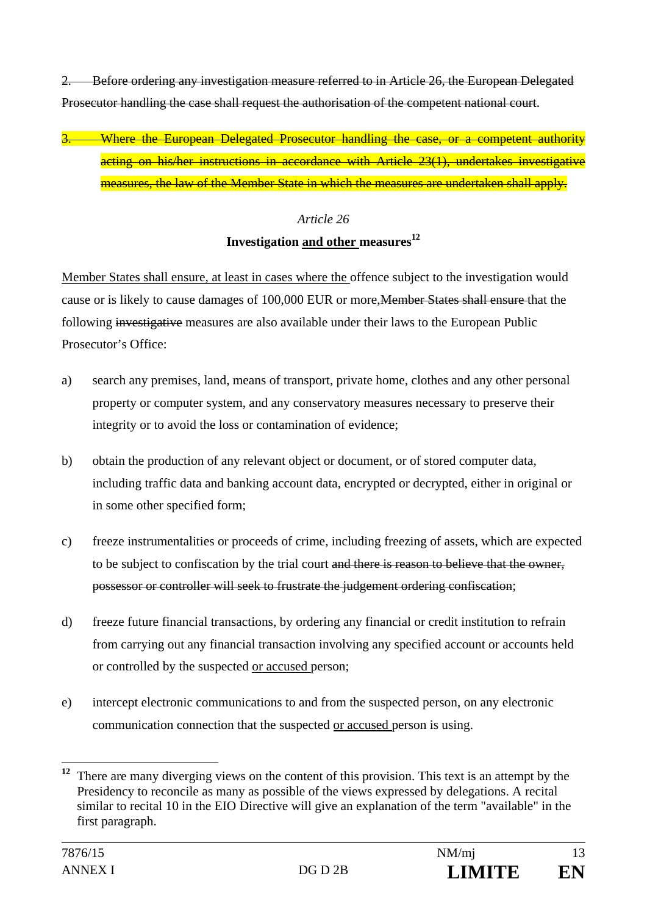2. Before ordering any investigation measure referred to in Article 26, the European Delegated Prosecutor handling the case shall request the authorisation of the competent national court.

3. Where the European Delegated Prosecutor handling the case, or a competent authority acting on his/her instructions in accordance with Article 23(1), undertakes investigative measures, the law of the Member State in which the measures are undertaken shall apply.

#### *Article 26*

#### **Investigation and other measures**<sup>12</sup>

Member States shall ensure, at least in cases where the offence subject to the investigation would cause or is likely to cause damages of 100,000 EUR or more,Member States shall ensure that the following investigative measures are also available under their laws to the European Public Prosecutor's Office:

- a) search any premises, land, means of transport, private home, clothes and any other personal property or computer system, and any conservatory measures necessary to preserve their integrity or to avoid the loss or contamination of evidence;
- b) obtain the production of any relevant object or document, or of stored computer data, including traffic data and banking account data, encrypted or decrypted, either in original or in some other specified form;
- c) freeze instrumentalities or proceeds of crime, including freezing of assets, which are expected to be subject to confiscation by the trial court and there is reason to believe that the owner, possessor or controller will seek to frustrate the judgement ordering confiscation;
- d) freeze future financial transactions, by ordering any financial or credit institution to refrain from carrying out any financial transaction involving any specified account or accounts held or controlled by the suspected or accused person;
- e) intercept electronic communications to and from the suspected person, on any electronic communication connection that the suspected or accused person is using.

<sup>&</sup>lt;sup>12</sup> There are many diverging views on the content of this provision. This text is an attempt by the Presidency to reconcile as many as possible of the views expressed by delegations. A recital similar to recital 10 in the EIO Directive will give an explanation of the term "available" in the first paragraph.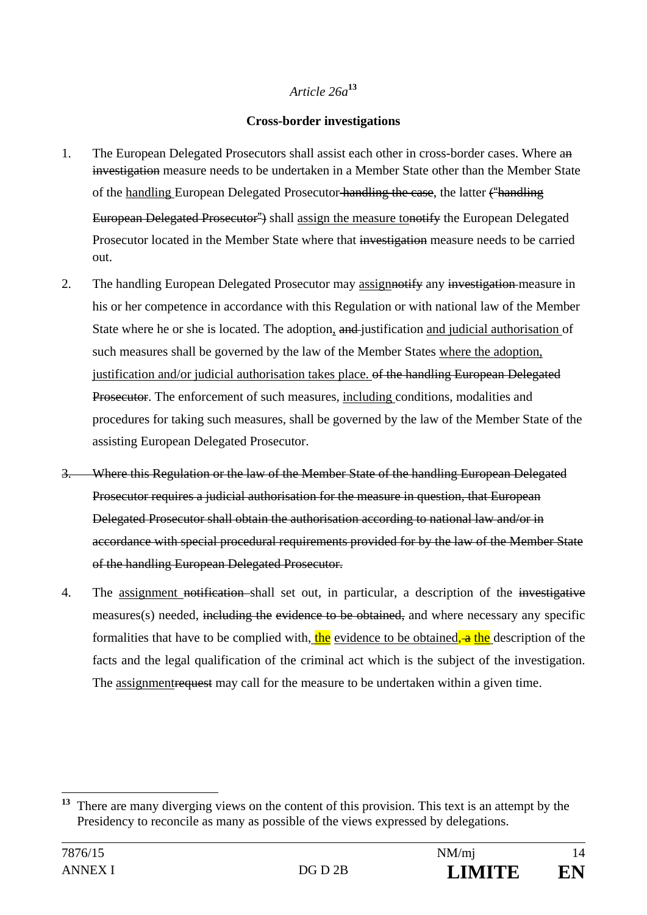### *Article 26a***<sup>13</sup>**

#### **Cross-border investigations**

- 1. The European Delegated Prosecutors shall assist each other in cross-border cases. Where an investigation measure needs to be undertaken in a Member State other than the Member State of the handling European Delegated Prosecutor handling the case, the latter ("handling European Delegated Prosecutor<sup>2</sup>) shall assign the measure tonotify the European Delegated Prosecutor located in the Member State where that investigation measure needs to be carried out.
- 2. The handling European Delegated Prosecutor may assigninatify any investigation-measure in his or her competence in accordance with this Regulation or with national law of the Member State where he or she is located. The adoption, and justification and judicial authorisation of such measures shall be governed by the law of the Member States where the adoption, justification and/or judicial authorisation takes place. of the handling European Delegated Prosecutor. The enforcement of such measures, including conditions, modalities and procedures for taking such measures, shall be governed by the law of the Member State of the assisting European Delegated Prosecutor.
- 3. Where this Regulation or the law of the Member State of the handling European Delegated Prosecutor requires a judicial authorisation for the measure in question, that European Delegated Prosecutor shall obtain the authorisation according to national law and/or in accordance with special procedural requirements provided for by the law of the Member State of the handling European Delegated Prosecutor.
- 4. The assignment notification shall set out, in particular, a description of the investigative measures(s) needed, including the evidence to be obtained, and where necessary any specific formalities that have to be complied with, the evidence to be obtained, a the description of the facts and the legal qualification of the criminal act which is the subject of the investigation. The assignment request may call for the measure to be undertaken within a given time.

 $13$ **<sup>13</sup>** There are many diverging views on the content of this provision. This text is an attempt by the Presidency to reconcile as many as possible of the views expressed by delegations.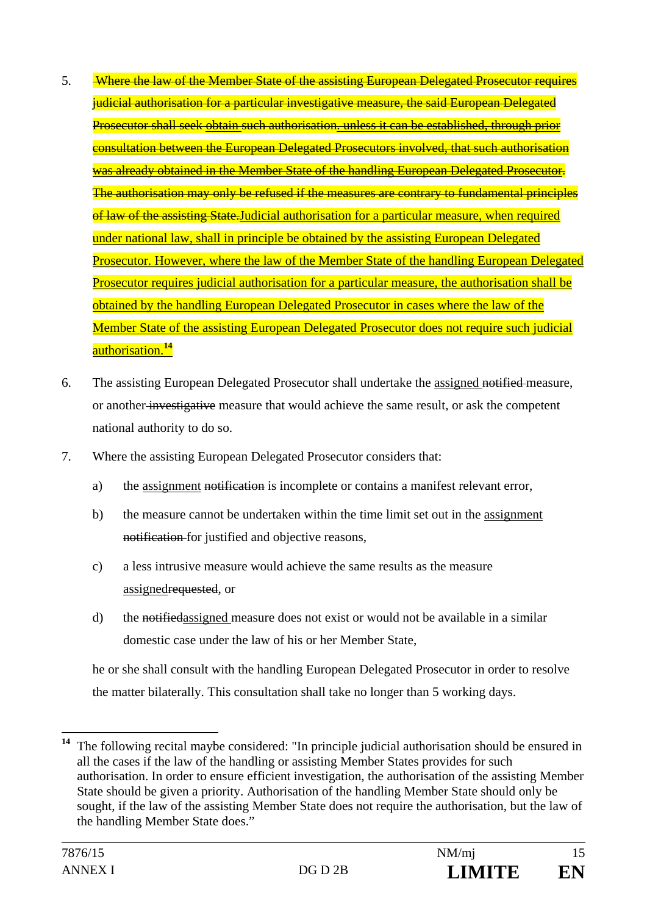- 5. Where the law of the Member State of the assisting European Delegated Prosecutor requires judicial authorisation for a particular investigative measure, the said European Delegated Prosecutor shall seek obtain such authorisation. unless it can be established, through prior consultation between the European Delegated Prosecutors involved, that such authorisation was already obtained in the Member State of the handling European Delegated Prosecutor. The authorisation may only be refused if the measures are contrary to fundamental principles of law of the assisting State. Judicial authorisation for a particular measure, when required under national law, shall in principle be obtained by the assisting European Delegated Prosecutor. However, where the law of the Member State of the handling European Delegated Prosecutor requires judicial authorisation for a particular measure, the authorisation shall be obtained by the handling European Delegated Prosecutor in cases where the law of the Member State of the assisting European Delegated Prosecutor does not require such judicial authorisation.**<sup>14</sup>**
- 6. The assisting European Delegated Prosecutor shall undertake the assigned notified measure, or another investigative measure that would achieve the same result, or ask the competent national authority to do so.
- 7. Where the assisting European Delegated Prosecutor considers that:
	- a) the assignment notification is incomplete or contains a manifest relevant error,
	- b) the measure cannot be undertaken within the time limit set out in the assignment notification for justified and objective reasons,
	- c) a less intrusive measure would achieve the same results as the measure assignedrequested, or
	- d) the notifiedassigned measure does not exist or would not be available in a similar domestic case under the law of his or her Member State,

he or she shall consult with the handling European Delegated Prosecutor in order to resolve the matter bilaterally. This consultation shall take no longer than 5 working days.

 $14$ **<sup>14</sup>** The following recital maybe considered: "In principle judicial authorisation should be ensured in all the cases if the law of the handling or assisting Member States provides for such authorisation. In order to ensure efficient investigation, the authorisation of the assisting Member State should be given a priority. Authorisation of the handling Member State should only be sought, if the law of the assisting Member State does not require the authorisation, but the law of the handling Member State does."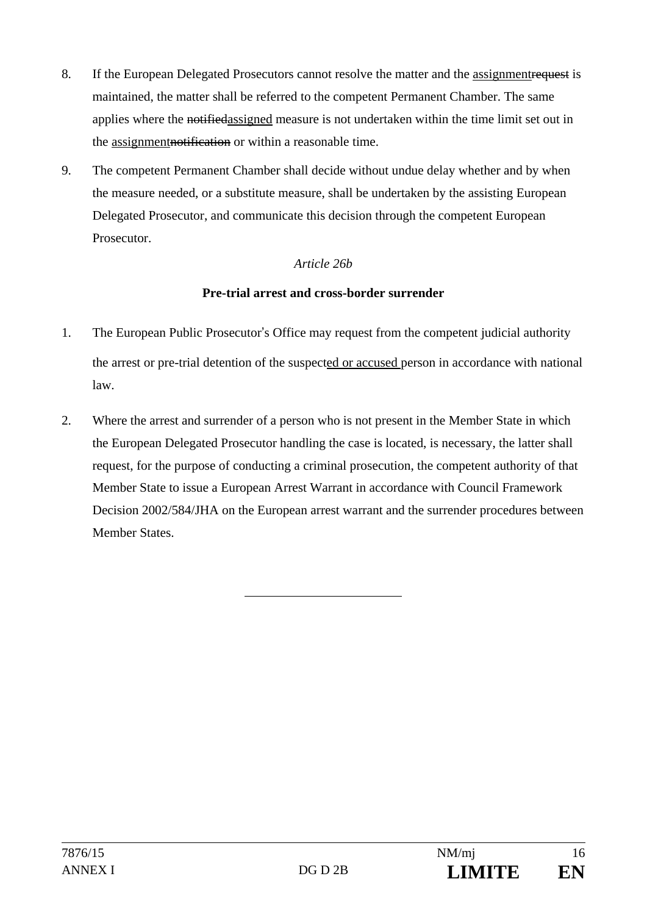- 8. If the European Delegated Prosecutors cannot resolve the matter and the assignmentrequest is maintained, the matter shall be referred to the competent Permanent Chamber. The same applies where the notified assigned measure is not undertaken within the time limit set out in the assignmentnotification or within a reasonable time.
- 9. The competent Permanent Chamber shall decide without undue delay whether and by when the measure needed, or a substitute measure, shall be undertaken by the assisting European Delegated Prosecutor, and communicate this decision through the competent European Prosecutor.

### *Article 26b*

### **Pre-trial arrest and cross-border surrender**

- 1. The European Public Prosecutor's Office may request from the competent judicial authority the arrest or pre-trial detention of the suspected or accused person in accordance with national law.
- 2. Where the arrest and surrender of a person who is not present in the Member State in which the European Delegated Prosecutor handling the case is located, is necessary, the latter shall request, for the purpose of conducting a criminal prosecution, the competent authority of that Member State to issue a European Arrest Warrant in accordance with Council Framework Decision 2002/584/JHA on the European arrest warrant and the surrender procedures between Member States.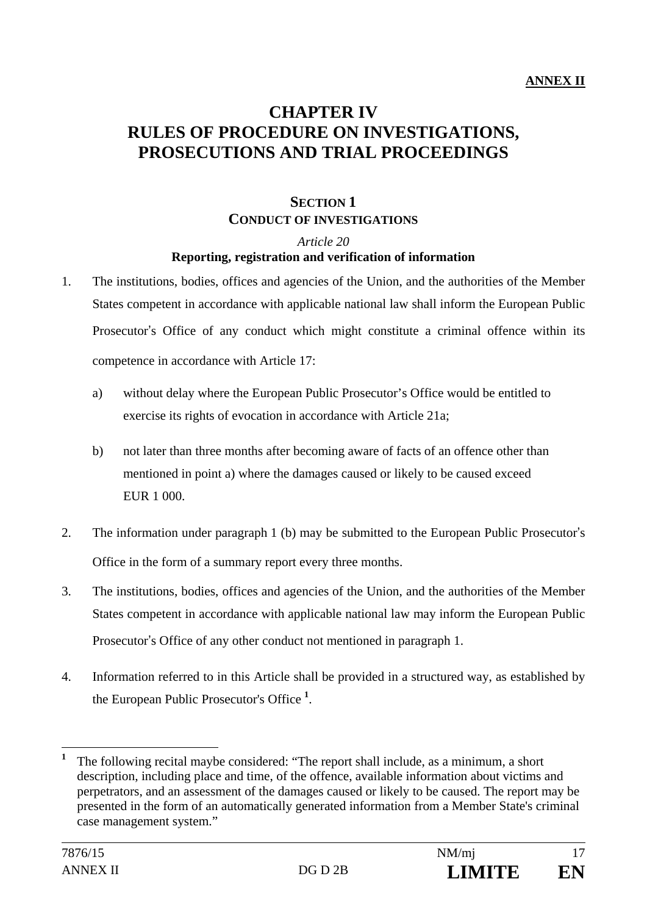# **CHAPTER IV RULES OF PROCEDURE ON INVESTIGATIONS, PROSECUTIONS AND TRIAL PROCEEDINGS**

# **SECTION 1 CONDUCT OF INVESTIGATIONS**

*Article 20* 

#### **Reporting, registration and verification of information**

- 1. The institutions, bodies, offices and agencies of the Union, and the authorities of the Member States competent in accordance with applicable national law shall inform the European Public Prosecutor's Office of any conduct which might constitute a criminal offence within its competence in accordance with Article 17:
	- a) without delay where the European Public Prosecutor's Office would be entitled to exercise its rights of evocation in accordance with Article 21a;
	- b) not later than three months after becoming aware of facts of an offence other than mentioned in point a) where the damages caused or likely to be caused exceed EUR 1 000.
- 2. The information under paragraph 1 (b) may be submitted to the European Public Prosecutor's Office in the form of a summary report every three months.
- 3. The institutions, bodies, offices and agencies of the Union, and the authorities of the Member States competent in accordance with applicable national law may inform the European Public Prosecutor's Office of any other conduct not mentioned in paragraph 1.
- 4. Information referred to in this Article shall be provided in a structured way, as established by the European Public Prosecutor's Office **<sup>1</sup>** .

**<sup>1</sup>** The following recital maybe considered: "The report shall include, as a minimum, a short description, including place and time, of the offence, available information about victims and perpetrators, and an assessment of the damages caused or likely to be caused. The report may be presented in the form of an automatically generated information from a Member State's criminal case management system."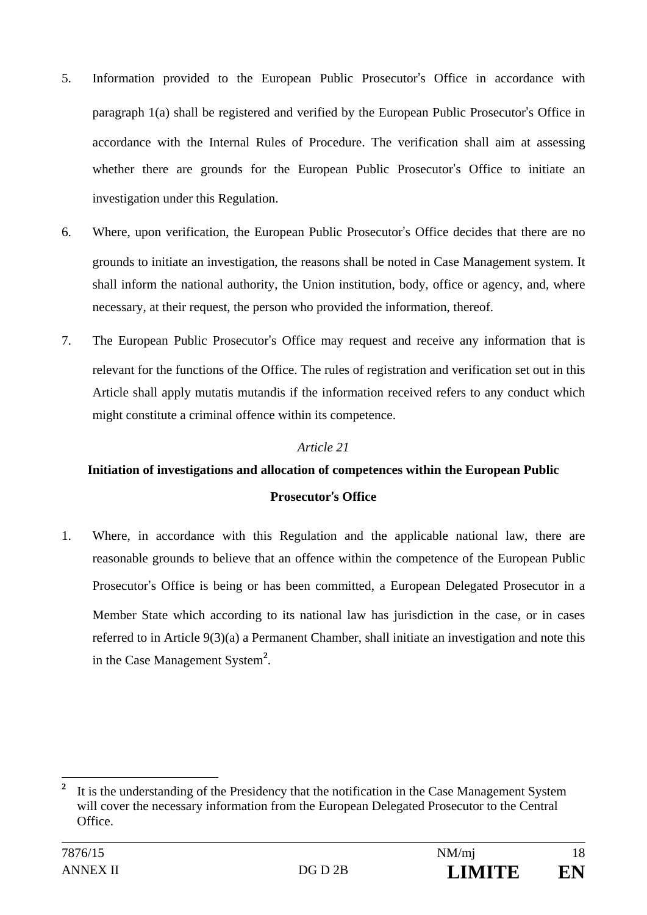- 5. Information provided to the European Public Prosecutor's Office in accordance with paragraph 1(a) shall be registered and verified by the European Public Prosecutor's Office in accordance with the Internal Rules of Procedure. The verification shall aim at assessing whether there are grounds for the European Public Prosecutor's Office to initiate an investigation under this Regulation.
- 6. Where, upon verification, the European Public Prosecutor's Office decides that there are no grounds to initiate an investigation, the reasons shall be noted in Case Management system. It shall inform the national authority, the Union institution, body, office or agency, and, where necessary, at their request, the person who provided the information, thereof.
- 7. The European Public Prosecutor's Office may request and receive any information that is relevant for the functions of the Office. The rules of registration and verification set out in this Article shall apply mutatis mutandis if the information received refers to any conduct which might constitute a criminal offence within its competence.

### *Article 21*

# **Initiation of investigations and allocation of competences within the European Public Prosecutor**'**s Office**

1. Where, in accordance with this Regulation and the applicable national law, there are reasonable grounds to believe that an offence within the competence of the European Public Prosecutor's Office is being or has been committed, a European Delegated Prosecutor in a Member State which according to its national law has jurisdiction in the case, or in cases referred to in Article 9(3)(a) a Permanent Chamber, shall initiate an investigation and note this in the Case Management System**<sup>2</sup>** .

**<sup>2</sup>** It is the understanding of the Presidency that the notification in the Case Management System will cover the necessary information from the European Delegated Prosecutor to the Central Office.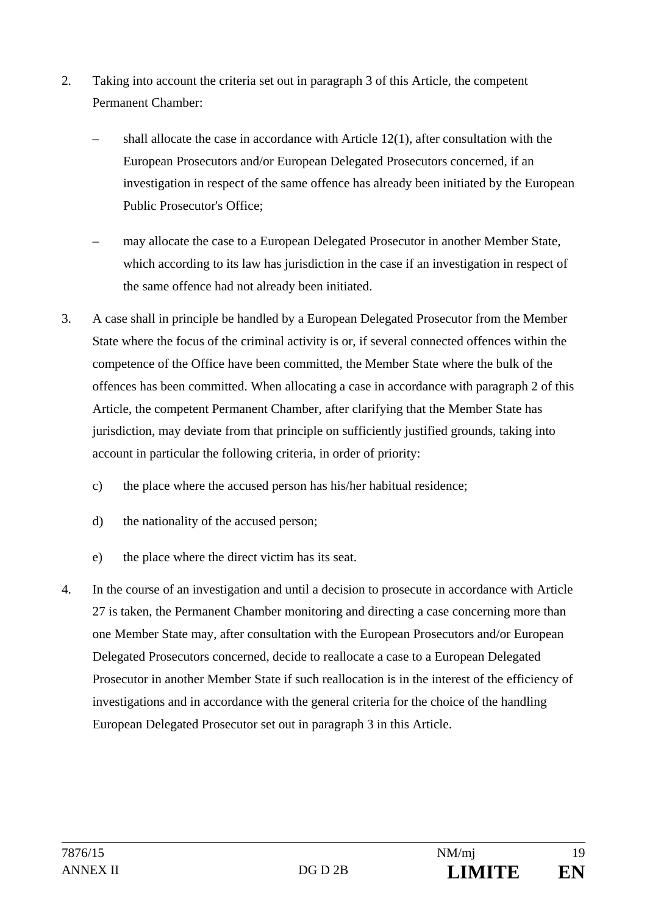- 2. Taking into account the criteria set out in paragraph 3 of this Article, the competent Permanent Chamber:
	- shall allocate the case in accordance with Article 12(1), after consultation with the European Prosecutors and/or European Delegated Prosecutors concerned, if an investigation in respect of the same offence has already been initiated by the European Public Prosecutor's Office;
	- may allocate the case to a European Delegated Prosecutor in another Member State, which according to its law has jurisdiction in the case if an investigation in respect of the same offence had not already been initiated.
- 3. A case shall in principle be handled by a European Delegated Prosecutor from the Member State where the focus of the criminal activity is or, if several connected offences within the competence of the Office have been committed, the Member State where the bulk of the offences has been committed. When allocating a case in accordance with paragraph 2 of this Article, the competent Permanent Chamber, after clarifying that the Member State has jurisdiction, may deviate from that principle on sufficiently justified grounds, taking into account in particular the following criteria, in order of priority:
	- c) the place where the accused person has his/her habitual residence;
	- d) the nationality of the accused person;
	- e) the place where the direct victim has its seat.
- 4. In the course of an investigation and until a decision to prosecute in accordance with Article 27 is taken, the Permanent Chamber monitoring and directing a case concerning more than one Member State may, after consultation with the European Prosecutors and/or European Delegated Prosecutors concerned, decide to reallocate a case to a European Delegated Prosecutor in another Member State if such reallocation is in the interest of the efficiency of investigations and in accordance with the general criteria for the choice of the handling European Delegated Prosecutor set out in paragraph 3 in this Article.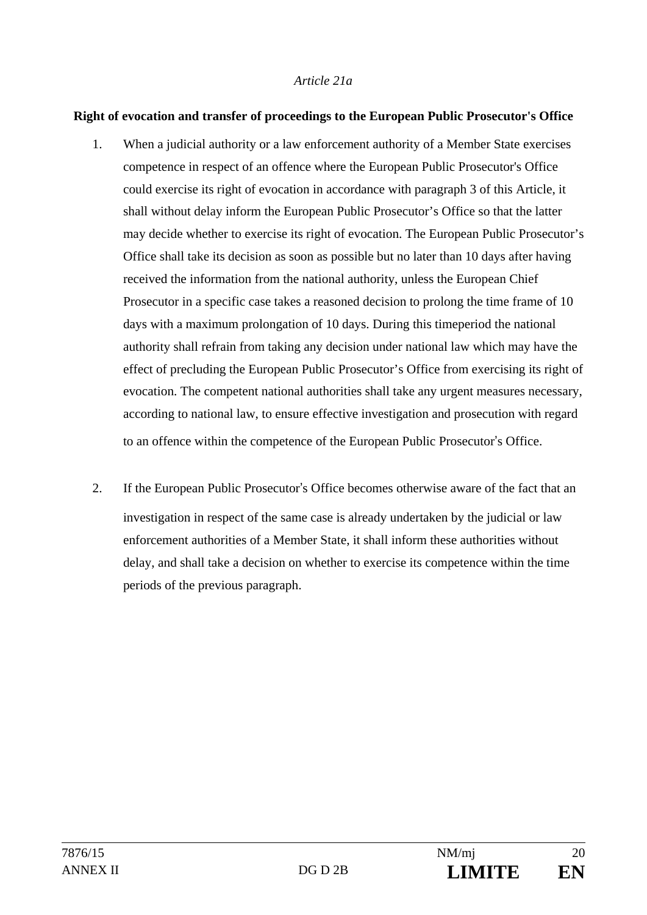#### *Article 21a*

#### **Right of evocation and transfer of proceedings to the European Public Prosecutor's Office**

- 1. When a judicial authority or a law enforcement authority of a Member State exercises competence in respect of an offence where the European Public Prosecutor's Office could exercise its right of evocation in accordance with paragraph 3 of this Article, it shall without delay inform the European Public Prosecutor's Office so that the latter may decide whether to exercise its right of evocation. The European Public Prosecutor's Office shall take its decision as soon as possible but no later than 10 days after having received the information from the national authority, unless the European Chief Prosecutor in a specific case takes a reasoned decision to prolong the time frame of 10 days with a maximum prolongation of 10 days. During this timeperiod the national authority shall refrain from taking any decision under national law which may have the effect of precluding the European Public Prosecutor's Office from exercising its right of evocation. The competent national authorities shall take any urgent measures necessary, according to national law, to ensure effective investigation and prosecution with regard to an offence within the competence of the European Public Prosecutor's Office.
- 2. If the European Public Prosecutor's Office becomes otherwise aware of the fact that an investigation in respect of the same case is already undertaken by the judicial or law enforcement authorities of a Member State, it shall inform these authorities without delay, and shall take a decision on whether to exercise its competence within the time periods of the previous paragraph.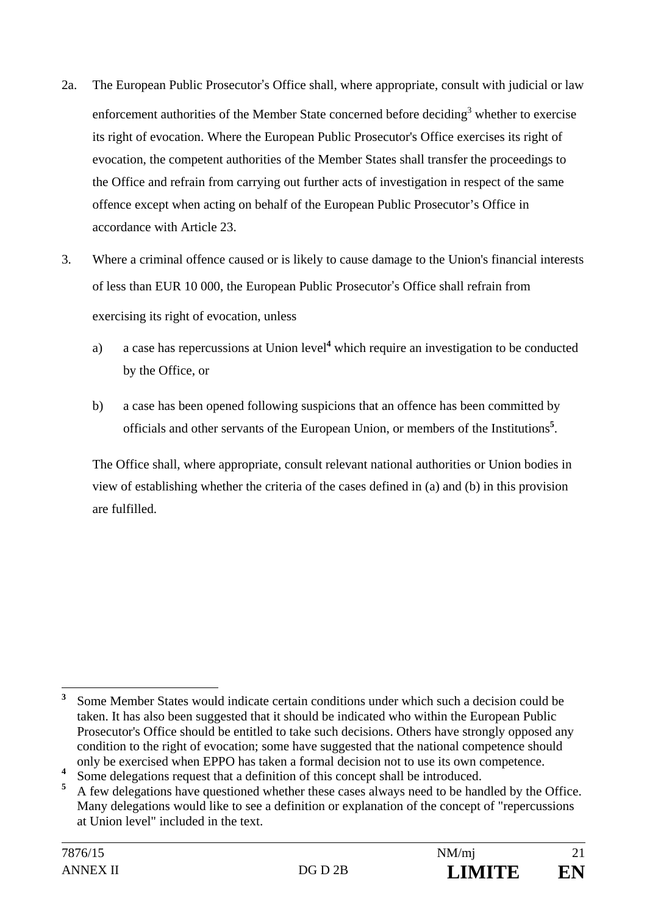- 2a. The European Public Prosecutor's Office shall, where appropriate, consult with judicial or law enforcement authorities of the Member State concerned before deciding<sup>3</sup> whether to exercise its right of evocation. Where the European Public Prosecutor's Office exercises its right of evocation, the competent authorities of the Member States shall transfer the proceedings to the Office and refrain from carrying out further acts of investigation in respect of the same offence except when acting on behalf of the European Public Prosecutor's Office in accordance with Article 23.
- 3. Where a criminal offence caused or is likely to cause damage to the Union's financial interests of less than EUR 10 000, the European Public Prosecutor's Office shall refrain from exercising its right of evocation, unless
	- a) a case has repercussions at Union level<sup>4</sup> which require an investigation to be conducted by the Office, or
	- b) a case has been opened following suspicions that an offence has been committed by officials and other servants of the European Union, or members of the Institutions**<sup>5</sup>** .

The Office shall, where appropriate, consult relevant national authorities or Union bodies in view of establishing whether the criteria of the cases defined in (a) and (b) in this provision are fulfilled.

 $\overline{a}$ **3** Some Member States would indicate certain conditions under which such a decision could be taken. It has also been suggested that it should be indicated who within the European Public Prosecutor's Office should be entitled to take such decisions. Others have strongly opposed any condition to the right of evocation; some have suggested that the national competence should only be exercised when EPPO has taken a formal decision not to use its own competence.

**<sup>4</sup>** Some delegations request that a definition of this concept shall be introduced.

**<sup>5</sup>** A few delegations have questioned whether these cases always need to be handled by the Office. Many delegations would like to see a definition or explanation of the concept of "repercussions at Union level" included in the text.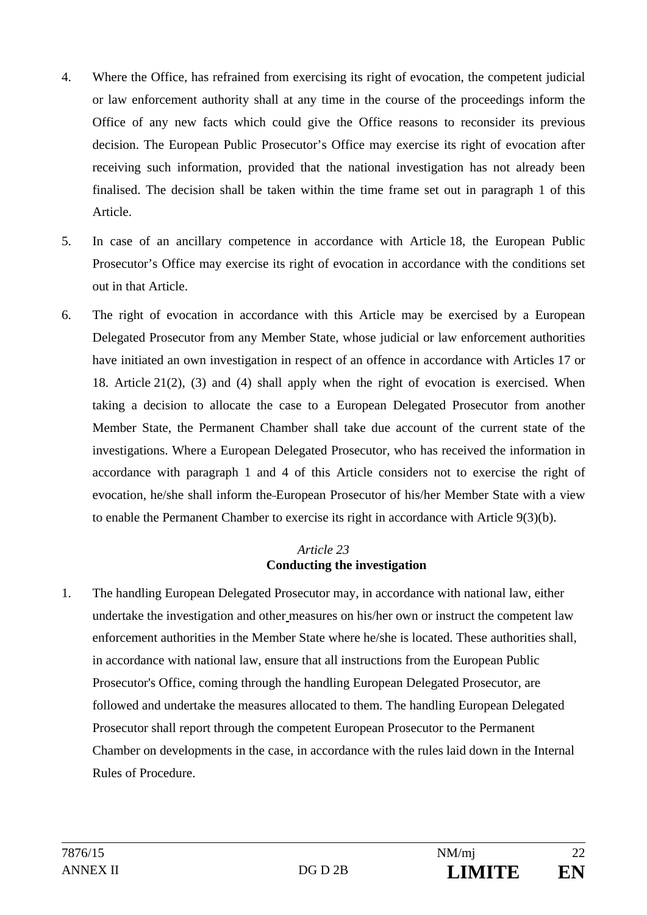- 4. Where the Office, has refrained from exercising its right of evocation, the competent judicial or law enforcement authority shall at any time in the course of the proceedings inform the Office of any new facts which could give the Office reasons to reconsider its previous decision. The European Public Prosecutor's Office may exercise its right of evocation after receiving such information, provided that the national investigation has not already been finalised. The decision shall be taken within the time frame set out in paragraph 1 of this Article.
- 5. In case of an ancillary competence in accordance with Article 18, the European Public Prosecutor's Office may exercise its right of evocation in accordance with the conditions set out in that Article.
- 6. The right of evocation in accordance with this Article may be exercised by a European Delegated Prosecutor from any Member State, whose judicial or law enforcement authorities have initiated an own investigation in respect of an offence in accordance with Articles 17 or 18. Article 21(2), (3) and (4) shall apply when the right of evocation is exercised. When taking a decision to allocate the case to a European Delegated Prosecutor from another Member State, the Permanent Chamber shall take due account of the current state of the investigations. Where a European Delegated Prosecutor, who has received the information in accordance with paragraph 1 and 4 of this Article considers not to exercise the right of evocation, he/she shall inform the European Prosecutor of his/her Member State with a view to enable the Permanent Chamber to exercise its right in accordance with Article 9(3)(b).

### *Article 23* **Conducting the investigation**

1. The handling European Delegated Prosecutor may, in accordance with national law, either undertake the investigation and other measures on his/her own or instruct the competent law enforcement authorities in the Member State where he/she is located. These authorities shall, in accordance with national law, ensure that all instructions from the European Public Prosecutor's Office, coming through the handling European Delegated Prosecutor, are followed and undertake the measures allocated to them. The handling European Delegated Prosecutor shall report through the competent European Prosecutor to the Permanent Chamber on developments in the case, in accordance with the rules laid down in the Internal Rules of Procedure.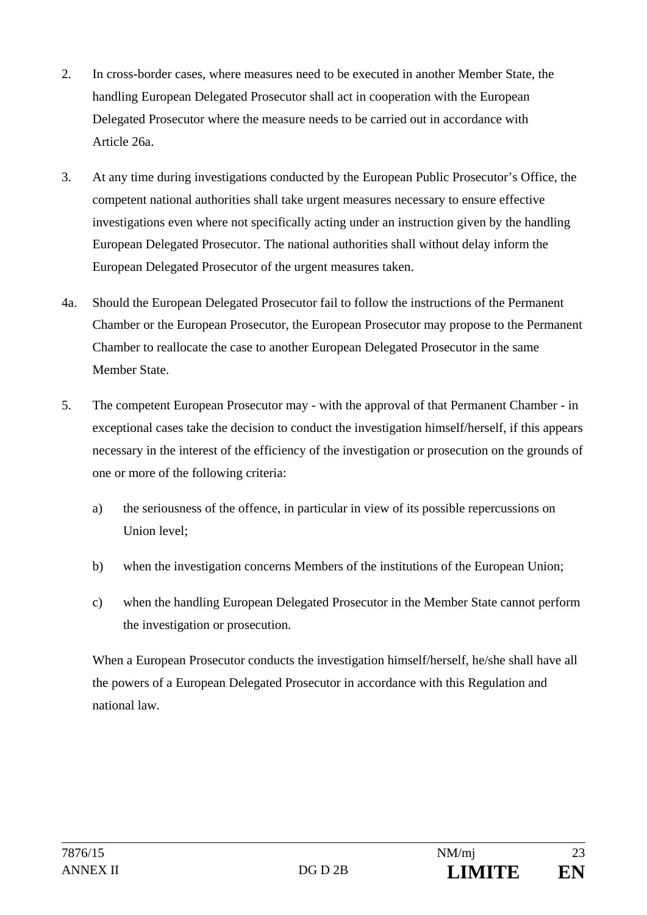- 2. In cross-border cases, where measures need to be executed in another Member State, the handling European Delegated Prosecutor shall act in cooperation with the European Delegated Prosecutor where the measure needs to be carried out in accordance with Article 26a.
- 3. At any time during investigations conducted by the European Public Prosecutor's Office, the competent national authorities shall take urgent measures necessary to ensure effective investigations even where not specifically acting under an instruction given by the handling European Delegated Prosecutor. The national authorities shall without delay inform the European Delegated Prosecutor of the urgent measures taken.
- 4a. Should the European Delegated Prosecutor fail to follow the instructions of the Permanent Chamber or the European Prosecutor, the European Prosecutor may propose to the Permanent Chamber to reallocate the case to another European Delegated Prosecutor in the same Member State.
- 5. The competent European Prosecutor may with the approval of that Permanent Chamber in exceptional cases take the decision to conduct the investigation himself/herself, if this appears necessary in the interest of the efficiency of the investigation or prosecution on the grounds of one or more of the following criteria:
	- a) the seriousness of the offence, in particular in view of its possible repercussions on Union level;
	- b) when the investigation concerns Members of the institutions of the European Union;
	- c) when the handling European Delegated Prosecutor in the Member State cannot perform the investigation or prosecution.

When a European Prosecutor conducts the investigation himself/herself, he/she shall have all the powers of a European Delegated Prosecutor in accordance with this Regulation and national law.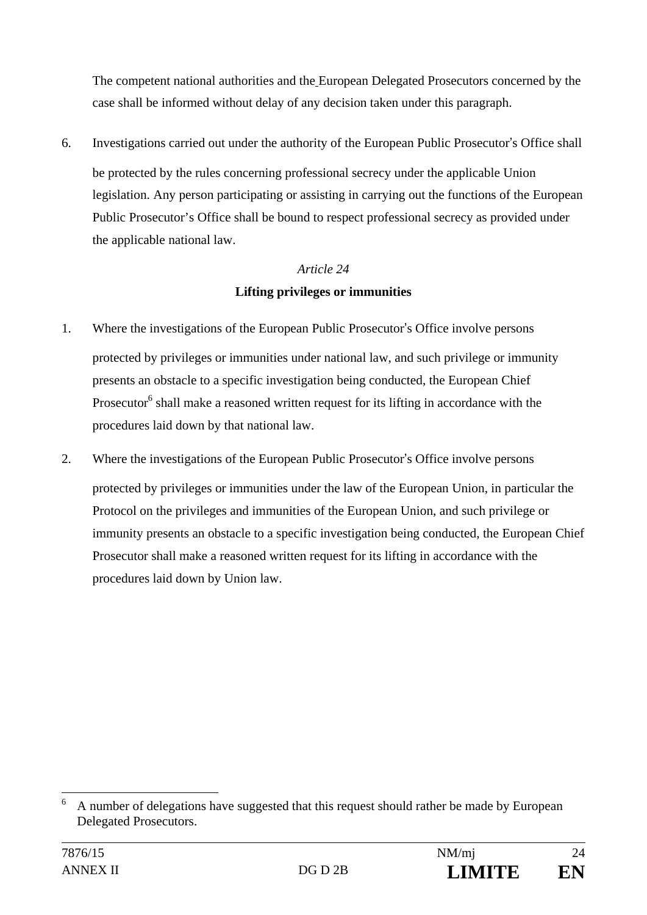The competent national authorities and the European Delegated Prosecutors concerned by the case shall be informed without delay of any decision taken under this paragraph.

6. Investigations carried out under the authority of the European Public Prosecutor's Office shall be protected by the rules concerning professional secrecy under the applicable Union legislation. Any person participating or assisting in carrying out the functions of the European Public Prosecutor's Office shall be bound to respect professional secrecy as provided under the applicable national law.

# *Article 24*  **Lifting privileges or immunities**

- 1. Where the investigations of the European Public Prosecutor's Office involve persons protected by privileges or immunities under national law, and such privilege or immunity presents an obstacle to a specific investigation being conducted, the European Chief Prosecutor<sup>6</sup> shall make a reasoned written request for its lifting in accordance with the procedures laid down by that national law.
- 2. Where the investigations of the European Public Prosecutor's Office involve persons protected by privileges or immunities under the law of the European Union, in particular the Protocol on the privileges and immunities of the European Union, and such privilege or immunity presents an obstacle to a specific investigation being conducted, the European Chief Prosecutor shall make a reasoned written request for its lifting in accordance with the procedures laid down by Union law.

<sup>6</sup> A number of delegations have suggested that this request should rather be made by European Delegated Prosecutors.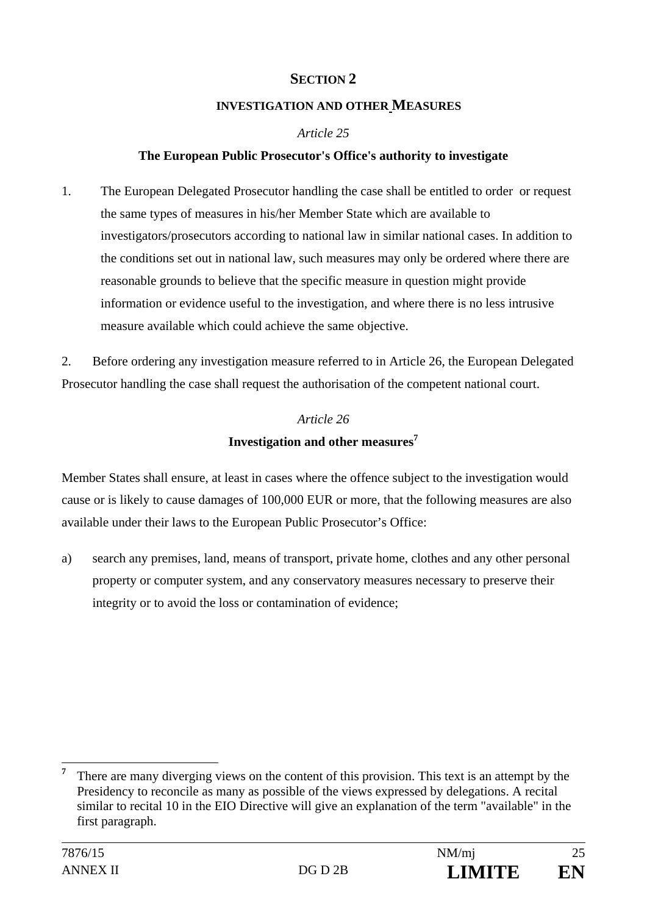# **SECTION 2**

#### **INVESTIGATION AND OTHER MEASURES**

#### *Article 25*

#### **The European Public Prosecutor's Office's authority to investigate**

1. The European Delegated Prosecutor handling the case shall be entitled to order or request the same types of measures in his/her Member State which are available to investigators/prosecutors according to national law in similar national cases. In addition to the conditions set out in national law, such measures may only be ordered where there are reasonable grounds to believe that the specific measure in question might provide information or evidence useful to the investigation, and where there is no less intrusive measure available which could achieve the same objective.

2. Before ordering any investigation measure referred to in Article 26, the European Delegated Prosecutor handling the case shall request the authorisation of the competent national court.

# *Article 26*  **Investigation and other measures7**

Member States shall ensure, at least in cases where the offence subject to the investigation would cause or is likely to cause damages of 100,000 EUR or more, that the following measures are also available under their laws to the European Public Prosecutor's Office:

a) search any premises, land, means of transport, private home, clothes and any other personal property or computer system, and any conservatory measures necessary to preserve their integrity or to avoid the loss or contamination of evidence;

 $\overline{a}$ **7** There are many diverging views on the content of this provision. This text is an attempt by the Presidency to reconcile as many as possible of the views expressed by delegations. A recital similar to recital 10 in the EIO Directive will give an explanation of the term "available" in the first paragraph.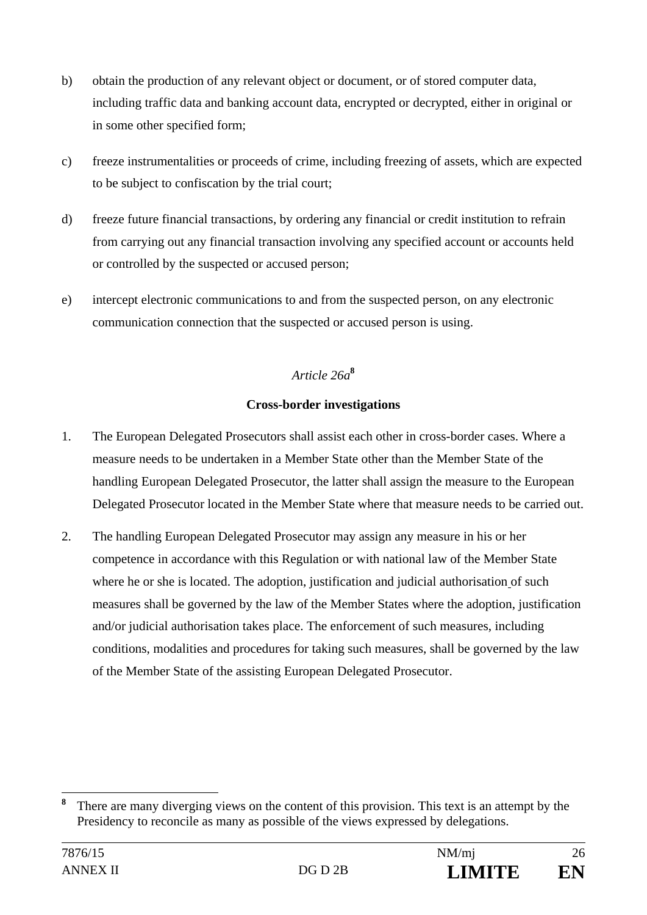- b) obtain the production of any relevant object or document, or of stored computer data, including traffic data and banking account data, encrypted or decrypted, either in original or in some other specified form;
- c) freeze instrumentalities or proceeds of crime, including freezing of assets, which are expected to be subject to confiscation by the trial court;
- d) freeze future financial transactions, by ordering any financial or credit institution to refrain from carrying out any financial transaction involving any specified account or accounts held or controlled by the suspected or accused person;
- e) intercept electronic communications to and from the suspected person, on any electronic communication connection that the suspected or accused person is using.

## *Article 26a***<sup>8</sup>**

#### **Cross-border investigations**

- 1. The European Delegated Prosecutors shall assist each other in cross-border cases. Where a measure needs to be undertaken in a Member State other than the Member State of the handling European Delegated Prosecutor, the latter shall assign the measure to the European Delegated Prosecutor located in the Member State where that measure needs to be carried out.
- 2. The handling European Delegated Prosecutor may assign any measure in his or her competence in accordance with this Regulation or with national law of the Member State where he or she is located. The adoption, justification and judicial authorisation of such measures shall be governed by the law of the Member States where the adoption, justification and/or judicial authorisation takes place. The enforcement of such measures, including conditions, modalities and procedures for taking such measures, shall be governed by the law of the Member State of the assisting European Delegated Prosecutor.

**<sup>8</sup>** There are many diverging views on the content of this provision. This text is an attempt by the Presidency to reconcile as many as possible of the views expressed by delegations.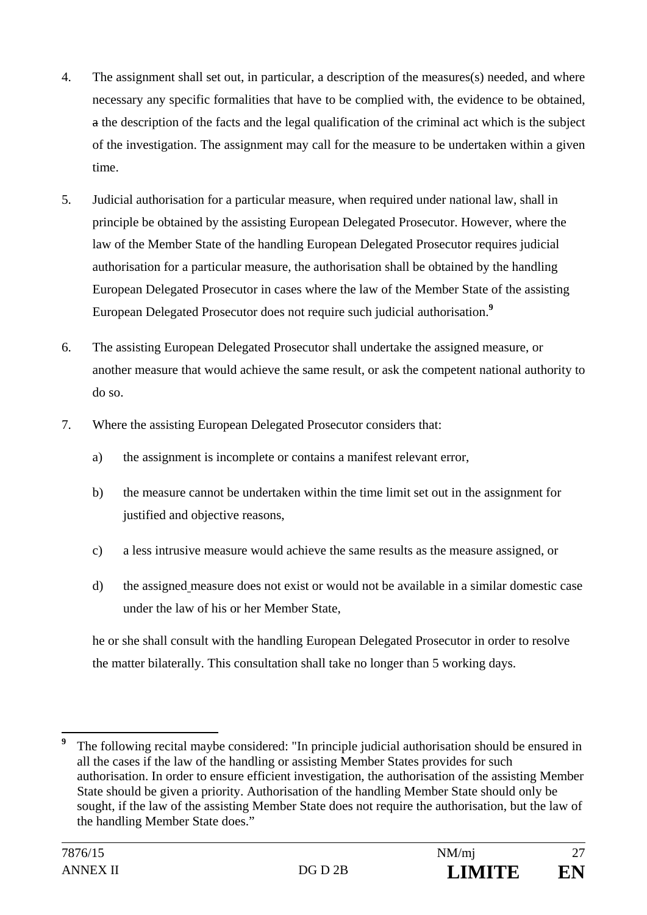- 4. The assignment shall set out, in particular, a description of the measures(s) needed, and where necessary any specific formalities that have to be complied with, the evidence to be obtained, a the description of the facts and the legal qualification of the criminal act which is the subject of the investigation. The assignment may call for the measure to be undertaken within a given time.
- 5. Judicial authorisation for a particular measure, when required under national law, shall in principle be obtained by the assisting European Delegated Prosecutor. However, where the law of the Member State of the handling European Delegated Prosecutor requires judicial authorisation for a particular measure, the authorisation shall be obtained by the handling European Delegated Prosecutor in cases where the law of the Member State of the assisting European Delegated Prosecutor does not require such judicial authorisation.**<sup>9</sup>**
- 6. The assisting European Delegated Prosecutor shall undertake the assigned measure, or another measure that would achieve the same result, or ask the competent national authority to do so.
- 7. Where the assisting European Delegated Prosecutor considers that:
	- a) the assignment is incomplete or contains a manifest relevant error,
	- b) the measure cannot be undertaken within the time limit set out in the assignment for justified and objective reasons,
	- c) a less intrusive measure would achieve the same results as the measure assigned, or
	- d) the assigned measure does not exist or would not be available in a similar domestic case under the law of his or her Member State,

he or she shall consult with the handling European Delegated Prosecutor in order to resolve the matter bilaterally. This consultation shall take no longer than 5 working days.

**<sup>9</sup>** The following recital maybe considered: "In principle judicial authorisation should be ensured in all the cases if the law of the handling or assisting Member States provides for such authorisation. In order to ensure efficient investigation, the authorisation of the assisting Member State should be given a priority. Authorisation of the handling Member State should only be sought, if the law of the assisting Member State does not require the authorisation, but the law of the handling Member State does."